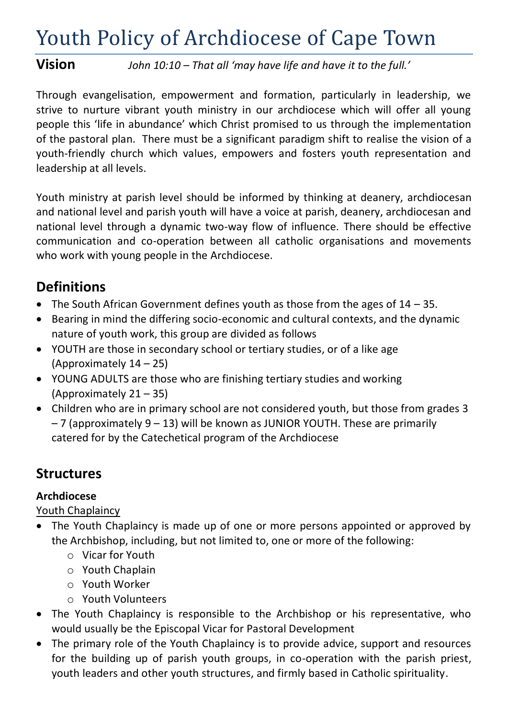# Youth Policy of Archdiocese of Cape Town

**Vision** *John 10:10 – That all 'may have life and have it to the full.'*

Through evangelisation, empowerment and formation, particularly in leadership, we strive to nurture vibrant youth ministry in our archdiocese which will offer all young people this 'life in abundance' which Christ promised to us through the implementation of the pastoral plan. There must be a significant paradigm shift to realise the vision of a youth-friendly church which values, empowers and fosters youth representation and leadership at all levels.

Youth ministry at parish level should be informed by thinking at deanery, archdiocesan and national level and parish youth will have a voice at parish, deanery, archdiocesan and national level through a dynamic two-way flow of influence. There should be effective communication and co-operation between all catholic organisations and movements who work with young people in the Archdiocese.

# **Definitions**

- The South African Government defines youth as those from the ages of  $14 35$ .
- Bearing in mind the differing socio-economic and cultural contexts, and the dynamic nature of youth work, this group are divided as follows
- YOUTH are those in secondary school or tertiary studies, or of a like age (Approximately 14 – 25)
- YOUNG ADULTS are those who are finishing tertiary studies and working (Approximately 21 – 35)
- Children who are in primary school are not considered youth, but those from grades 3 – 7 (approximately 9 – 13) will be known as JUNIOR YOUTH. These are primarily catered for by the Catechetical program of the Archdiocese

# **Structures**

### **Archdiocese**

#### Youth Chaplaincy

- The Youth Chaplaincy is made up of one or more persons appointed or approved by the Archbishop, including, but not limited to, one or more of the following:
	- o Vicar for Youth
	- o Youth Chaplain
	- o Youth Worker
	- o Youth Volunteers
- The Youth Chaplaincy is responsible to the Archbishop or his representative, who would usually be the Episcopal Vicar for Pastoral Development
- The primary role of the Youth Chaplaincy is to provide advice, support and resources for the building up of parish youth groups, in co-operation with the parish priest, youth leaders and other youth structures, and firmly based in Catholic spirituality.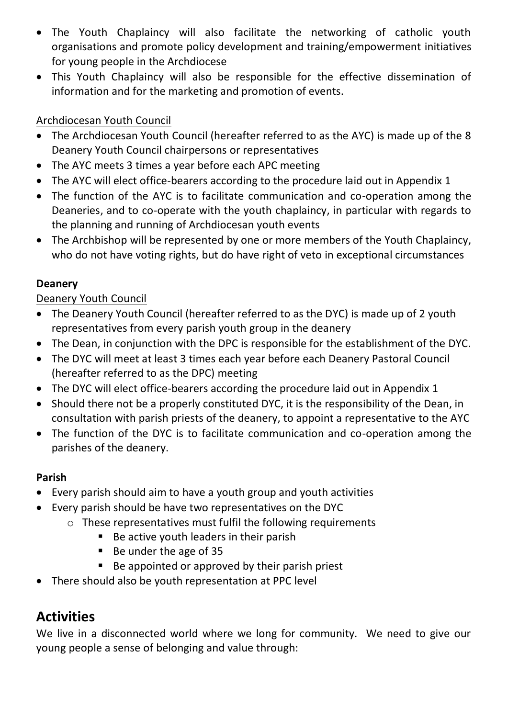- The Youth Chaplaincy will also facilitate the networking of catholic youth organisations and promote policy development and training/empowerment initiatives for young people in the Archdiocese
- This Youth Chaplaincy will also be responsible for the effective dissemination of information and for the marketing and promotion of events.

#### Archdiocesan Youth Council

- The Archdiocesan Youth Council (hereafter referred to as the AYC) is made up of the 8 Deanery Youth Council chairpersons or representatives
- The AYC meets 3 times a year before each APC meeting
- The AYC will elect office-bearers according to the procedure laid out in Appendix 1
- The function of the AYC is to facilitate communication and co-operation among the Deaneries, and to co-operate with the youth chaplaincy, in particular with regards to the planning and running of Archdiocesan youth events
- The Archbishop will be represented by one or more members of the Youth Chaplaincy, who do not have voting rights, but do have right of veto in exceptional circumstances

#### **Deanery**

#### Deanery Youth Council

- The Deanery Youth Council (hereafter referred to as the DYC) is made up of 2 youth representatives from every parish youth group in the deanery
- The Dean, in conjunction with the DPC is responsible for the establishment of the DYC.
- The DYC will meet at least 3 times each year before each Deanery Pastoral Council (hereafter referred to as the DPC) meeting
- The DYC will elect office-bearers according the procedure laid out in Appendix 1
- Should there not be a properly constituted DYC, it is the responsibility of the Dean, in consultation with parish priests of the deanery, to appoint a representative to the AYC
- The function of the DYC is to facilitate communication and co-operation among the parishes of the deanery.

#### **Parish**

- Every parish should aim to have a youth group and youth activities
- Every parish should be have two representatives on the DYC
	- o These representatives must fulfil the following requirements
		- Be active youth leaders in their parish
		- Be under the age of 35
		- Be appointed or approved by their parish priest
- There should also be youth representation at PPC level

## **Activities**

We live in a disconnected world where we long for community. We need to give our young people a sense of belonging and value through: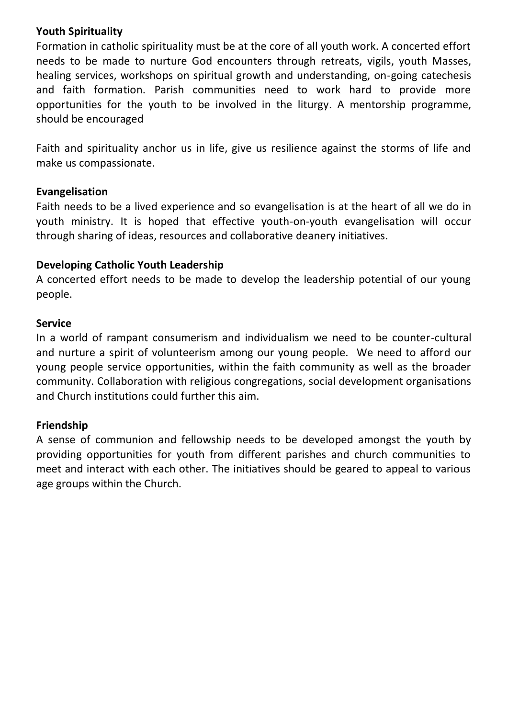#### **Youth Spirituality**

Formation in catholic spirituality must be at the core of all youth work. A concerted effort needs to be made to nurture God encounters through retreats, vigils, youth Masses, healing services, workshops on spiritual growth and understanding, on-going catechesis and faith formation. Parish communities need to work hard to provide more opportunities for the youth to be involved in the liturgy. A mentorship programme, should be encouraged

Faith and spirituality anchor us in life, give us resilience against the storms of life and make us compassionate.

#### **Evangelisation**

Faith needs to be a lived experience and so evangelisation is at the heart of all we do in youth ministry. It is hoped that effective youth-on-youth evangelisation will occur through sharing of ideas, resources and collaborative deanery initiatives.

#### **Developing Catholic Youth Leadership**

A concerted effort needs to be made to develop the leadership potential of our young people.

#### **Service**

In a world of rampant consumerism and individualism we need to be counter-cultural and nurture a spirit of volunteerism among our young people. We need to afford our young people service opportunities, within the faith community as well as the broader community. Collaboration with religious congregations, social development organisations and Church institutions could further this aim.

#### **Friendship**

A sense of communion and fellowship needs to be developed amongst the youth by providing opportunities for youth from different parishes and church communities to meet and interact with each other. The initiatives should be geared to appeal to various age groups within the Church.